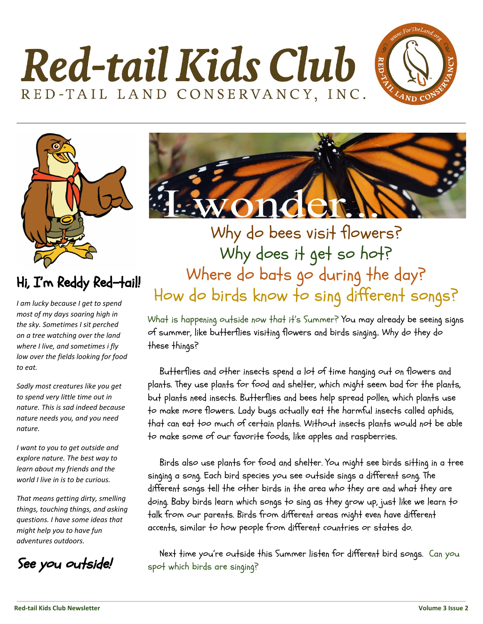





### Hi, I'm Reddy Red-tail!

*I am lucky because I get to spend most of my days soaring high in the sky. Sometimes I sit perched on a tree watching over the land where I live, and sometimes i fly low over the fields looking for food to eat.*

*Sadly most creatures like you get to spend very little time out in nature. This is sad indeed because nature needs you, and you need nature.*

*I want to you to get outside and explore nature. The best way to learn about my friends and the world I live in is to be curious.*

*That means getting dirty, smelling things, touching things, and asking questions. I have some ideas that might help you to have fun adventures outdoors.*

See you outside!



Why do bees visit flowers? Why does it get so hot? Where do bats go during the day? How do birds know to sing different songs?

What is happening outside now that it's Summer? You may already be seeing signs of summer, like butterflies visiting flowers and birds singing.. Why do they do these things?

 Butterflies and other insects spend a lot of time hanging out on flowers and plants. They use plants for food and shelter, which might seem bad for the plants, but plants need insects. Butterflies and bees help spread pollen, which plants use to make more flowers. Lady bugs actually eat the harmful insects called aphids, that can eat too much of certain plants. Without insects plants would not be able to make some of our favorite foods, like apples and raspberries.

 Birds also use plants for food and shelter. You might see birds sitting in a tree singing a song. Each bird species you see outside sings a different song. The different songs tell the other birds in the area who they are and what they are doing. Baby birds learn which songs to sing as they grow up, just like we learn to talk from our parents. Birds from different areas might even have different accents, similar to how people from different countries or states do.

 Next time you're outside this Summer listen for different bird songs. Can you spot which birds are singing?